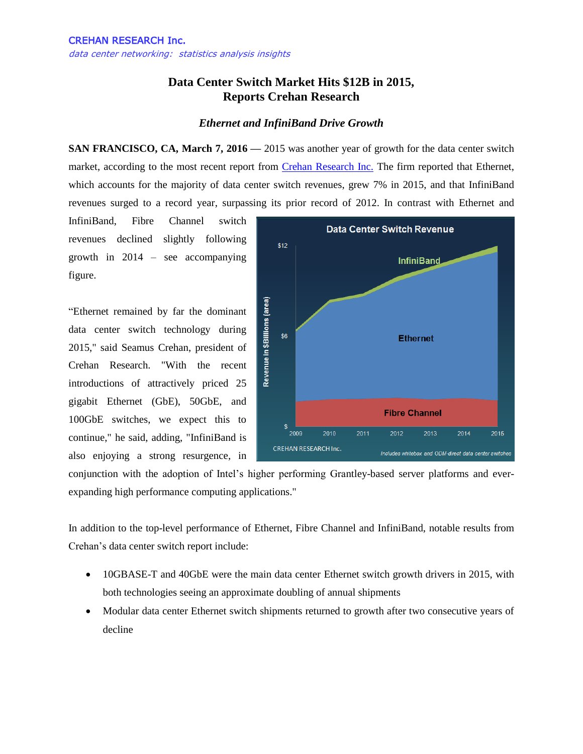## **Data Center Switch Market Hits \$12B in 2015, Reports Crehan Research**

## *Ethernet and InfiniBand Drive Growth*

**SAN FRANCISCO, CA, March 7, 2016 — 2015** was another year of growth for the data center switch market, according to the most recent report from [Crehan Research Inc.](http://www.crehanresearch.com/) The firm reported that Ethernet, which accounts for the majority of data center switch revenues, grew 7% in 2015, and that InfiniBand revenues surged to a record year, surpassing its prior record of 2012. In contrast with Ethernet and

InfiniBand, Fibre Channel switch revenues declined slightly following growth in 2014 – see accompanying figure.

"Ethernet remained by far the dominant data center switch technology during 2015," said Seamus Crehan, president of Crehan Research. "With the recent introductions of attractively priced 25 gigabit Ethernet (GbE), 50GbE, and 100GbE switches, we expect this to continue," he said, adding, "InfiniBand is also enjoying a strong resurgence, in



conjunction with the adoption of Intel's higher performing Grantley-based server platforms and everexpanding high performance computing applications."

In addition to the top-level performance of Ethernet, Fibre Channel and InfiniBand, notable results from Crehan's data center switch report include:

- 10GBASE-T and 40GbE were the main data center Ethernet switch growth drivers in 2015, with both technologies seeing an approximate doubling of annual shipments
- Modular data center Ethernet switch shipments returned to growth after two consecutive years of decline